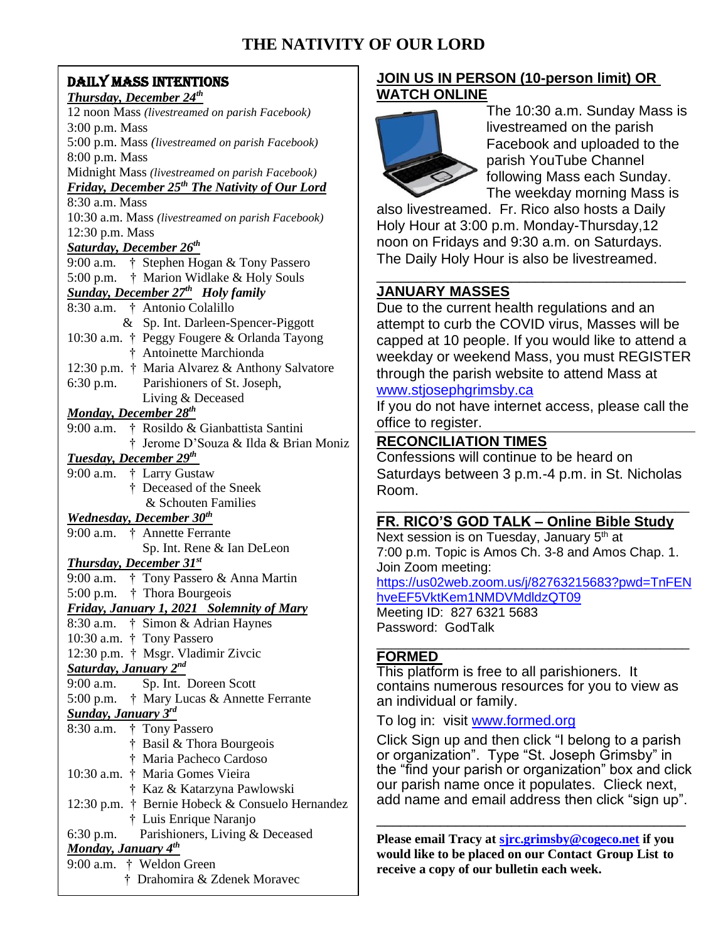# **THE NATIVITY OF OUR LORD**

# DAILY MASS INTENTIONS

#### *Thursday, December 24th*  12 noon Mass *(livestreamed on parish Facebook)* 3:00 p.m. Mass 5:00 p.m. Mass *(livestreamed on parish Facebook)* 8:00 p.m. Mass Midnight Mass *(livestreamed on parish Facebook) Friday, December 25th The Nativity of Our Lord* 8:30 a.m. Mass 10:30 a.m. Mass *(livestreamed on parish Facebook)* 12:30 p.m. Mass *Saturday, December 26th* 9:00 a.m*.* † Stephen Hogan & Tony Passero 5:00 p.m. † Marion Widlake & Holy Souls *Sunday, December 27th Holy family* 8:30 a.m. † Antonio Colalillo & Sp. Int. Darleen-Spencer-Piggott 10:30 a.m. † Peggy Fougere & Orlanda Tayong † Antoinette Marchionda 12:30 p.m. † Maria Alvarez & Anthony Salvatore 6:30 p.m. Parishioners of St. Joseph, Living & Deceased *Monday, December 28th* 9:00 a.m. † Rosildo & Gianbattista Santini † Jerome D'Souza & Ilda & Brian Moniz *Tuesday, December 29th* 9:00 a.m. † Larry Gustaw † Deceased of the Sneek & Schouten Families *Wednesday, December 30th* 9:00 a.m. † Annette Ferrante Sp. Int. Rene & Ian DeLeon *Thursday, December 31st* 9:00 a.m. † Tony Passero & Anna Martin 5:00 p.m. † Thora Bourgeois *Friday, January 1, 2021 Solemnity of Mary* 8:30 a.m. † Simon & Adrian Haynes 10:30 a.m. † Tony Passero 12:30 p.m. † Msgr. Vladimir Zivcic *Saturday, January 2nd* 9:00 a.m. Sp. Int. Doreen Scott 5:00 p.m. † Mary Lucas & Annette Ferrante *Sunday, January 3rd* 8:30 a.m. † Tony Passero † Basil & Thora Bourgeois † Maria Pacheco Cardoso 10:30 a.m. † Maria Gomes Vieira † Kaz & Katarzyna Pawlowski 12:30 p.m. † Bernie Hobeck & Consuelo Hernandez † Luis Enrique Naranjo 6:30 p.m. Parishioners, Living & Deceased *Monday, January 4th* 9:00 a.m. † Weldon Green † Drahomira & Zdenek Moravec

# **JOIN US IN PERSON (10-person limit) OR WATCH ONLINE**



The 10:30 a.m. Sunday Mass is livestreamed on the parish Facebook and uploaded to the parish YouTube Channel following Mass each Sunday. The weekday morning Mass is

also livestreamed. Fr. Rico also hosts a Daily Holy Hour at 3:00 p.m. Monday-Thursday,12 noon on Fridays and 9:30 a.m. on Saturdays. The Daily Holy Hour is also be livestreamed.

## \_\_\_\_\_\_\_\_\_\_\_\_\_\_\_\_\_\_\_\_\_\_\_\_\_\_\_\_\_\_\_\_\_\_\_\_\_\_\_ **JANUARY MASSES**

Due to the current health regulations and an attempt to curb the COVID virus, Masses will be capped at 10 people. If you would like to attend a weekday or weekend Mass, you must REGISTER through the parish website to attend Mass at [www.stjosephgrimsby.ca](http://www.stjosephgrimsby.ca/)

If you do not have internet access, please call the office to register.

# **RECONCILIATION TIMES**

Confessions will continue to be heard on Saturdays between 3 p.m.-4 p.m. in St. Nicholas Room.

#### \_\_\_\_\_\_\_\_\_\_\_\_\_\_\_\_\_\_\_\_\_\_\_\_\_\_\_\_\_\_\_\_\_\_\_\_\_\_\_\_\_\_\_ **FR. RICO'S GOD TALK – Online Bible Study**

Next session is on Tuesday, January  $5<sup>th</sup>$  at 7:00 p.m. Topic is Amos Ch. 3-8 and Amos Chap. 1. Join Zoom meeting: [https://us02web.zoom.us/j/82763215683?pwd=TnFEN](https://us02web.zoom.us/j/82763215683?pwd=TnFENhveEF5VktKem1NMDVMdldzQT09)

[hveEF5VktKem1NMDVMdldzQT09](https://us02web.zoom.us/j/82763215683?pwd=TnFENhveEF5VktKem1NMDVMdldzQT09)

Meeting ID: 827 6321 5683 Password: GodTalk

#### \_\_\_\_\_\_\_\_\_\_\_\_\_\_\_\_\_\_\_\_\_\_\_\_\_\_\_\_\_\_\_\_\_\_\_\_\_\_\_\_\_\_\_ **FORMED**

This platform is free to all parishioners. It contains numerous resources for you to view as an individual or family.

To log in: visit [www.formed.org](http://www.formed.org/)

Click Sign up and then click "I belong to a parish or organization". Type "St. Joseph Grimsby" in the "find your parish or organization" box and click our parish name once it populates. Clieck next, add name and email address then click "sign up".

**Please email Tracy at [sjrc.grimsby@cogeco.net](mailto:sjrc.grimsby@cogeco.net) if you would like to be placed on our Contact Group List to receive a copy of our bulletin each week.**

\_\_\_\_\_\_\_\_\_\_\_\_\_\_\_\_\_\_\_\_\_\_\_\_\_\_\_\_\_\_\_\_\_\_\_\_\_\_\_